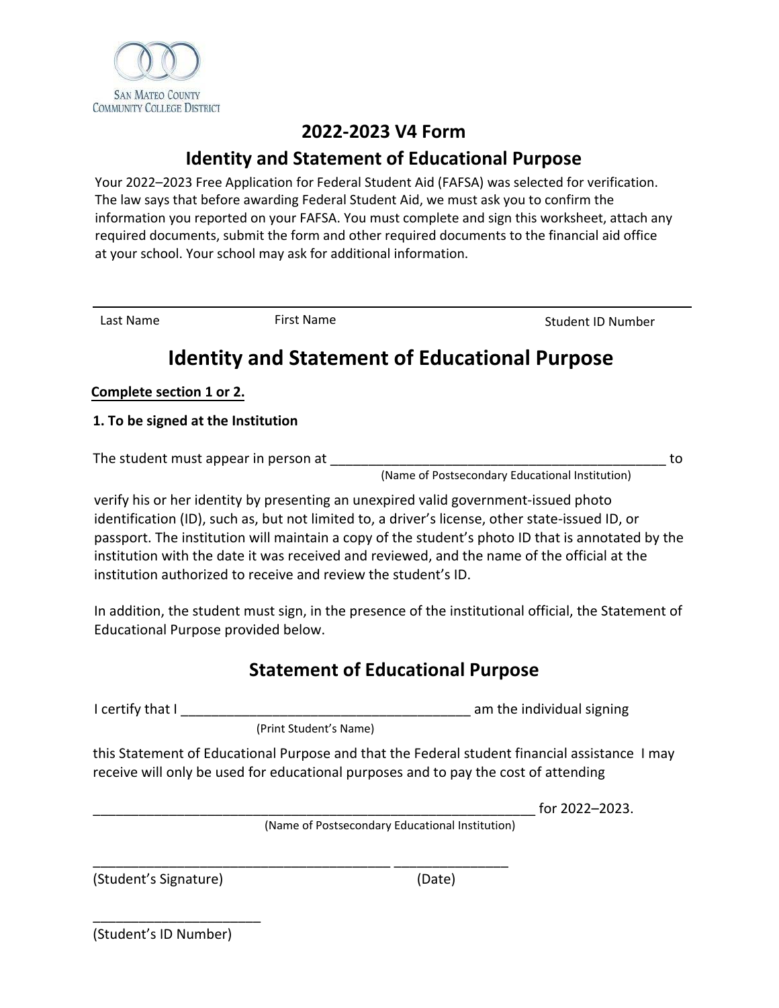

### **2022-2023 V4 Form**

## **Identity and Statement of Educational Purpose**

Your 2022–2023 Free Application for Federal Student Aid (FAFSA) was selected for verification. The law says that before awarding Federal Student Aid, we must ask you to confirm the information you reported on your FAFSA. You must complete and sign this worksheet, attach any required documents, submit the form and other required documents to the financial aid office at your school. Your school may ask for additional information.

Last Name First Name First Name Student ID Number

## **Identity and Statement of Educational Purpose**

#### **Complete section 1 or 2.**

**1. To be signed at the Institution**

The student must appear in person at \_\_\_\_\_\_\_\_\_\_\_\_\_\_\_\_\_\_\_\_\_\_\_\_\_\_\_\_\_\_\_\_\_\_\_\_\_\_\_\_\_\_\_\_ to

(Name of Postsecondary Educational Institution)

verify his or her identity by presenting an unexpired valid government-issued photo identification (ID), such as, but not limited to, a driver's license, other state-issued ID, or passport. The institution will maintain a copy of the student's photo ID that is annotated by the institution with the date it was received and reviewed, and the name of the official at the institution authorized to receive and review the student's ID.

In addition, the student must sign, in the presence of the institutional official, the Statement of Educational Purpose provided below.

## **Statement of Educational Purpose**

I certify that I \_\_\_\_\_\_\_\_\_\_\_\_\_\_\_\_\_\_\_\_\_\_\_\_\_\_\_\_\_\_\_\_\_\_\_\_\_\_ am the individual signing

(Print Student's Name)

\_\_\_\_\_\_\_\_\_\_\_\_\_\_\_\_\_\_\_\_\_\_\_\_\_\_\_\_\_\_\_\_\_\_\_\_\_\_\_ \_\_\_\_\_\_\_\_\_\_\_\_\_\_\_

this Statement of Educational Purpose and that the Federal student financial assistance I may receive will only be used for educational purposes and to pay the cost of attending

\_\_\_\_\_\_\_\_\_\_\_\_\_\_\_\_\_\_\_\_\_\_\_\_\_\_\_\_\_\_\_\_\_\_\_\_\_\_\_\_\_\_\_\_\_\_\_\_\_\_\_\_\_\_\_\_\_\_ for 2022–2023.

(Name of Postsecondary Educational Institution)

(Student's Signature) (Date)

(Student's ID Number)

\_\_\_\_\_\_\_\_\_\_\_\_\_\_\_\_\_\_\_\_\_\_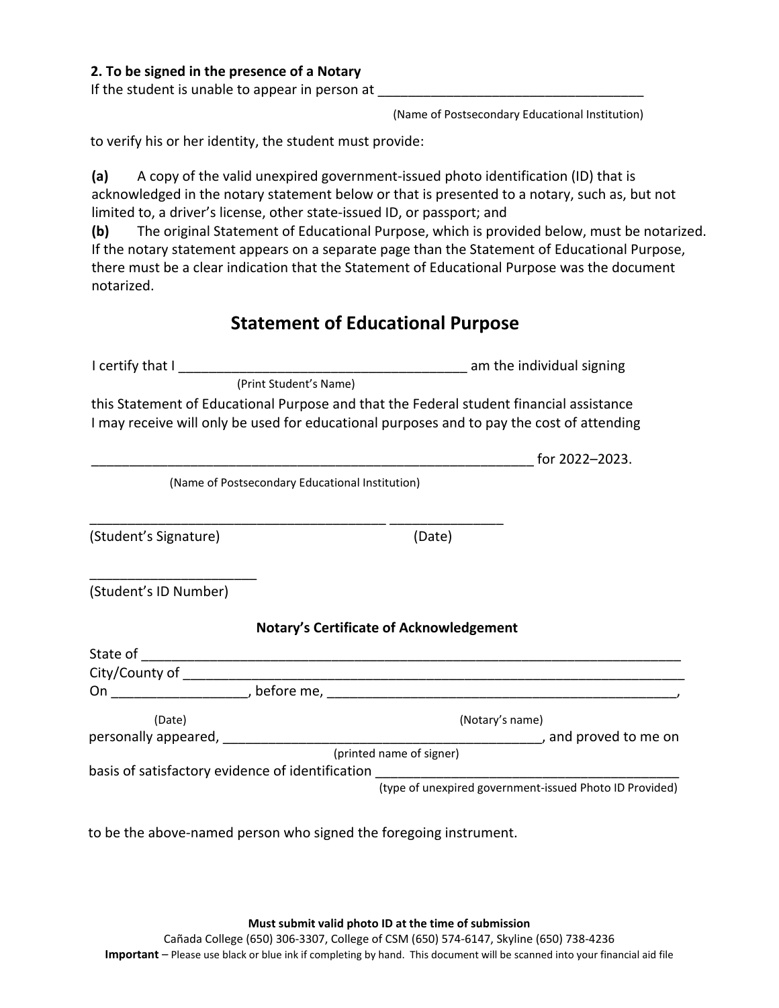#### **2. To be signed in the presence of a Notary**

If the student is unable to appear in person at

(Name of Postsecondary Educational Institution)

to verify his or her identity, the student must provide:

**(a)** A copy of the valid unexpired government-issued photo identification (ID) that is acknowledged in the notary statement below or that is presented to a notary, such as, but not limited to, a driver's license, other state-issued ID, or passport; and

**(b)** The original Statement of Educational Purpose, which is provided below, must be notarized. If the notary statement appears on a separate page than the Statement of Educational Purpose, there must be a clear indication that the Statement of Educational Purpose was the document notarized.

## **Statement of Educational Purpose**

| (Print Student's Name)                                                                                                                                                               |                                                 |                                                |                                                         |  |
|--------------------------------------------------------------------------------------------------------------------------------------------------------------------------------------|-------------------------------------------------|------------------------------------------------|---------------------------------------------------------|--|
| this Statement of Educational Purpose and that the Federal student financial assistance<br>I may receive will only be used for educational purposes and to pay the cost of attending |                                                 |                                                |                                                         |  |
|                                                                                                                                                                                      |                                                 |                                                | for 2022-2023.                                          |  |
|                                                                                                                                                                                      | (Name of Postsecondary Educational Institution) |                                                |                                                         |  |
|                                                                                                                                                                                      |                                                 |                                                |                                                         |  |
| (Student's Signature)                                                                                                                                                                |                                                 | (Date)                                         |                                                         |  |
| (Student's ID Number)                                                                                                                                                                |                                                 |                                                |                                                         |  |
|                                                                                                                                                                                      |                                                 | <b>Notary's Certificate of Acknowledgement</b> |                                                         |  |
|                                                                                                                                                                                      |                                                 |                                                |                                                         |  |
|                                                                                                                                                                                      |                                                 |                                                |                                                         |  |
|                                                                                                                                                                                      |                                                 |                                                |                                                         |  |
| (Date)                                                                                                                                                                               |                                                 |                                                | (Notary's name)                                         |  |
|                                                                                                                                                                                      |                                                 |                                                |                                                         |  |
| basis of satisfactory evidence of identification                                                                                                                                     |                                                 | (printed name of signer)                       |                                                         |  |
|                                                                                                                                                                                      |                                                 |                                                | (type of unexpired government-issued Photo ID Provided) |  |

to be the above-named person who signed the foregoing instrument.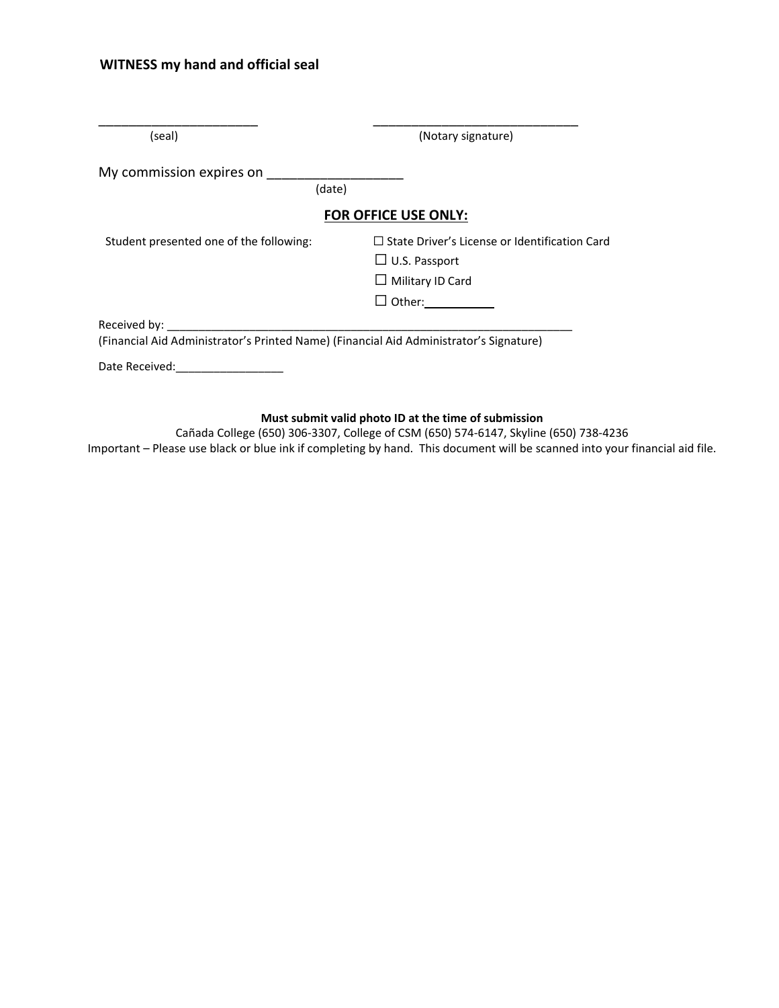#### **WITNESS my hand and official seal**

| (seal)                                                                                                 | (Notary signature)                                                                                                          |  |  |  |  |
|--------------------------------------------------------------------------------------------------------|-----------------------------------------------------------------------------------------------------------------------------|--|--|--|--|
| My commission expires on<br>(date)                                                                     |                                                                                                                             |  |  |  |  |
| <b>FOR OFFICE USE ONLY:</b>                                                                            |                                                                                                                             |  |  |  |  |
| Student presented one of the following:                                                                | $\Box$ State Driver's License or Identification Card<br>$\Box$ U.S. Passport<br>$\Box$ Military ID Card<br>$\square$ Other: |  |  |  |  |
| Received by:<br>(Financial Aid Administrator's Printed Name) (Financial Aid Administrator's Signature) |                                                                                                                             |  |  |  |  |
| Date Received:                                                                                         |                                                                                                                             |  |  |  |  |

#### **Must submit valid photo ID at the time of submission**

Cañada College (650) 306-3307, College of CSM (650) 574-6147, Skyline (650) 738-4236 Important – Please use black or blue ink if completing by hand. This document will be scanned into your financial aid file.